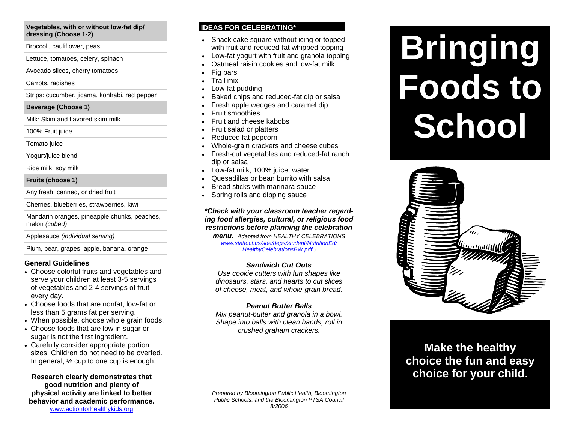#### **Vegetables, with or without low-fat dip/ dressing (Choose 1-2)**

Broccoli, cauliflower, peas

Lettuce, tomatoes, celery, spinach

Avocado slices, cherry tomatoes

Carrots, radishes

Strips: cucumber, jicama, kohlrabi, red pepper

#### **Beverage (Choose 1)**

Milk: Skim and flavored skim milk

100% Fruit juice

Tomato juice

Yogurt/juice blend

Rice milk, soy milk

#### **Fruits (choose 1)**

Any fresh, canned, or dried fruit

Cherries, blueberries, strawberries, kiwi

Mandarin oranges, pineapple chunks, peaches, melon *(cubed)*

Applesauce *(individual serving)*

Plum, pear, grapes, apple, banana, orange

## **General Guidelines**

- Choose colorful fruits and vegetables and serve your children at least 3-5 servings of vegetables and 2-4 servings of fruit every day.
- Choose foods that are nonfat, low-fat or less than 5 grams fat per serving.
- When possible, choose whole grain foods.
- Choose foods that are low in sugar or sugar is not the first ingredient.
- Carefully consider appropriate portion sizes. Children do not need to be overfed. In general, ½ cup to one cup is enough.

**Research clearly demonstrates that good nutrition and plenty of physical activity are linked to better behavior and academic performance.**  www.actionforhealthykids.org

## **IDEAS FOR CELEBRATING\***

- Snack cake square without icing or topped with fruit and reduced-fat whipped topping
- Low-fat yogurt with fruit and granola topping
- Oatmeal raisin cookies and low-fat milk
- Fig bars
- Trail mix
- Low-fat pudding
- Baked chips and reduced-fat dip or salsa
- Fresh apple wedges and caramel dip
- Fruit smoothies
- Fruit and cheese kabobs
- Fruit salad or platters
- Reduced fat popcorn
- Whole-grain crackers and cheese cubes
- Fresh-cut vegetables and reduced-fat ranch dip or salsa
- Low-fat milk, 100% juice, water
- Quesadillas or bean burrito with salsa
- Bread sticks with marinara sauce
- Spring rolls and dipping sauce

*\*Check with your classroom teacher regarding food allergies, cultural, or religious food restrictions before planning the celebration menu. Adapted from HEALTHY CELEBRATIONS* 

*www.state.ct.us/sde/deps/student/NutritionEd/ HealthyCelebrationsBW.pdf* )

## *Sandwich Cut Outs*

*Use cookie cutters with fun shapes like dinosaurs, stars, and hearts to cut slices of cheese, meat, and whole-grain bread.* 

## *Peanut Butter Balls*

*Mix peanut-butter and granola in a bowl. Shape into balls with clean hands; roll in crushed graham crackers.* 

*Prepared by Bloomington Public Health, Bloomington Public Schools, and the Bloomington PTSA Council 8/2006* 

# **Bringing Foods to School**



**Make the healthy choice the fun and easy choice for your child**.